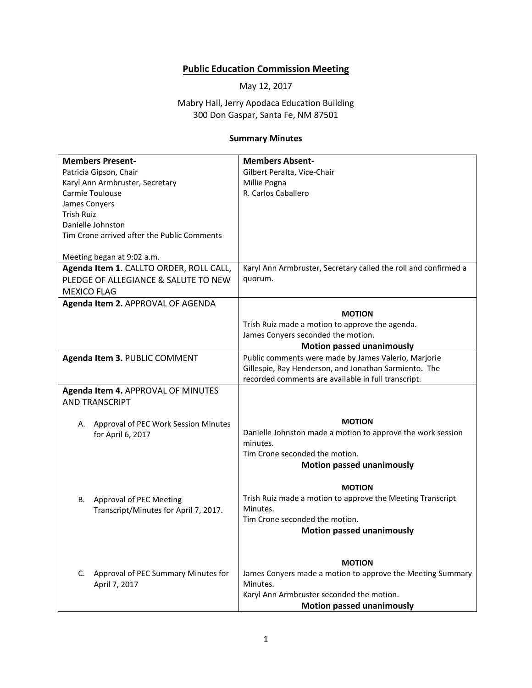## **Public Education Commission Meeting**

May 12, 2017

Mabry Hall, Jerry Apodaca Education Building 300 Don Gaspar, Santa Fe, NM 87501

## **Summary Minutes**

| <b>Members Present-</b>                                          | <b>Members Absent-</b>                                          |
|------------------------------------------------------------------|-----------------------------------------------------------------|
| Patricia Gipson, Chair                                           | Gilbert Peralta, Vice-Chair                                     |
| Karyl Ann Armbruster, Secretary                                  | Millie Pogna                                                    |
| Carmie Toulouse                                                  | R. Carlos Caballero                                             |
| James Conyers                                                    |                                                                 |
| <b>Trish Ruiz</b>                                                |                                                                 |
| Danielle Johnston                                                |                                                                 |
| Tim Crone arrived after the Public Comments                      |                                                                 |
|                                                                  |                                                                 |
| Meeting began at 9:02 a.m.                                       |                                                                 |
| Agenda Item 1. CALLTO ORDER, ROLL CALL,                          | Karyl Ann Armbruster, Secretary called the roll and confirmed a |
| PLEDGE OF ALLEGIANCE & SALUTE TO NEW                             | quorum.                                                         |
| <b>MEXICO FLAG</b>                                               |                                                                 |
| Agenda Item 2. APPROVAL OF AGENDA                                |                                                                 |
|                                                                  | <b>MOTION</b>                                                   |
|                                                                  | Trish Ruiz made a motion to approve the agenda.                 |
|                                                                  | James Conyers seconded the motion.                              |
|                                                                  | <b>Motion passed unanimously</b>                                |
| Agenda Item 3. PUBLIC COMMENT                                    | Public comments were made by James Valerio, Marjorie            |
|                                                                  | Gillespie, Ray Henderson, and Jonathan Sarmiento. The           |
|                                                                  | recorded comments are available in full transcript.             |
| Agenda Item 4. APPROVAL OF MINUTES                               |                                                                 |
| <b>AND TRANSCRIPT</b>                                            |                                                                 |
|                                                                  |                                                                 |
| A. Approval of PEC Work Session Minutes                          | <b>MOTION</b>                                                   |
| for April 6, 2017                                                | Danielle Johnston made a motion to approve the work session     |
|                                                                  | minutes.                                                        |
|                                                                  | Tim Crone seconded the motion.                                  |
|                                                                  | <b>Motion passed unanimously</b>                                |
|                                                                  | <b>MOTION</b>                                                   |
| В.                                                               | Trish Ruiz made a motion to approve the Meeting Transcript      |
| Approval of PEC Meeting<br>Transcript/Minutes for April 7, 2017. | Minutes.                                                        |
|                                                                  | Tim Crone seconded the motion.                                  |
|                                                                  | <b>Motion passed unanimously</b>                                |
|                                                                  |                                                                 |
|                                                                  |                                                                 |
|                                                                  | <b>MOTION</b>                                                   |
| C. Approval of PEC Summary Minutes for                           | James Conyers made a motion to approve the Meeting Summary      |
| April 7, 2017                                                    | Minutes.                                                        |
|                                                                  | Karyl Ann Armbruster seconded the motion.                       |
|                                                                  | <b>Motion passed unanimously</b>                                |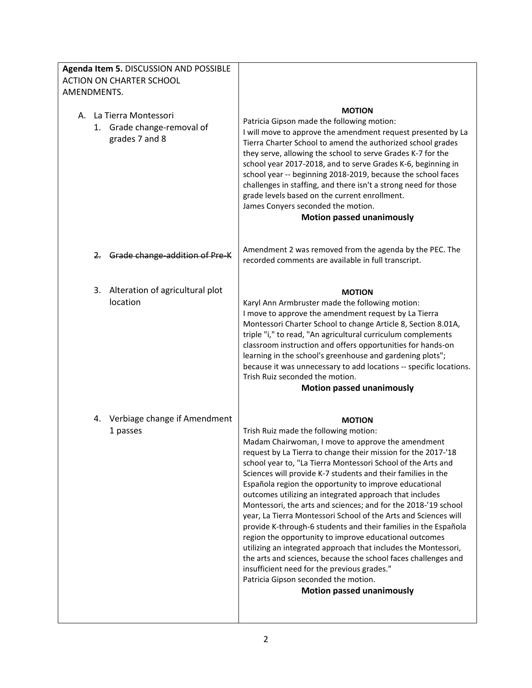| Agenda Item 5. DISCUSSION AND POSSIBLE<br><b>ACTION ON CHARTER SCHOOL</b><br>AMENDMENTS. |                                                                                                                                                                                                                                                                                                                                                                                                                                                                                                                                                                                                                                                                                                                                                                                                                                                                                                                                                                    |
|------------------------------------------------------------------------------------------|--------------------------------------------------------------------------------------------------------------------------------------------------------------------------------------------------------------------------------------------------------------------------------------------------------------------------------------------------------------------------------------------------------------------------------------------------------------------------------------------------------------------------------------------------------------------------------------------------------------------------------------------------------------------------------------------------------------------------------------------------------------------------------------------------------------------------------------------------------------------------------------------------------------------------------------------------------------------|
| A. La Tierra Montessori<br>1. Grade change-removal of<br>grades 7 and 8                  | <b>MOTION</b><br>Patricia Gipson made the following motion:<br>I will move to approve the amendment request presented by La<br>Tierra Charter School to amend the authorized school grades<br>they serve, allowing the school to serve Grades K-7 for the<br>school year 2017-2018, and to serve Grades K-6, beginning in<br>school year -- beginning 2018-2019, because the school faces<br>challenges in staffing, and there isn't a strong need for those<br>grade levels based on the current enrollment.<br>James Conyers seconded the motion.<br><b>Motion passed unanimously</b>                                                                                                                                                                                                                                                                                                                                                                            |
| Grade change-addition of Pre-K<br>$2 -$                                                  | Amendment 2 was removed from the agenda by the PEC. The<br>recorded comments are available in full transcript.                                                                                                                                                                                                                                                                                                                                                                                                                                                                                                                                                                                                                                                                                                                                                                                                                                                     |
| 3. Alteration of agricultural plot<br>location                                           | <b>MOTION</b><br>Karyl Ann Armbruster made the following motion:<br>I move to approve the amendment request by La Tierra<br>Montessori Charter School to change Article 8, Section 8.01A,<br>triple "i," to read, "An agricultural curriculum complements<br>classroom instruction and offers opportunities for hands-on<br>learning in the school's greenhouse and gardening plots";<br>because it was unnecessary to add locations -- specific locations.<br>Trish Ruiz seconded the motion.<br><b>Motion passed unanimously</b>                                                                                                                                                                                                                                                                                                                                                                                                                                 |
| Verbiage change if Amendment<br>4.<br>1 passes                                           | <b>MOTION</b><br>Trish Ruiz made the following motion:<br>Madam Chairwoman, I move to approve the amendment<br>request by La Tierra to change their mission for the 2017-'18<br>school year to, "La Tierra Montessori School of the Arts and<br>Sciences will provide K-7 students and their families in the<br>Española region the opportunity to improve educational<br>outcomes utilizing an integrated approach that includes<br>Montessori, the arts and sciences; and for the 2018-'19 school<br>year, La Tierra Montessori School of the Arts and Sciences will<br>provide K-through-6 students and their families in the Española<br>region the opportunity to improve educational outcomes<br>utilizing an integrated approach that includes the Montessori,<br>the arts and sciences, because the school faces challenges and<br>insufficient need for the previous grades."<br>Patricia Gipson seconded the motion.<br><b>Motion passed unanimously</b> |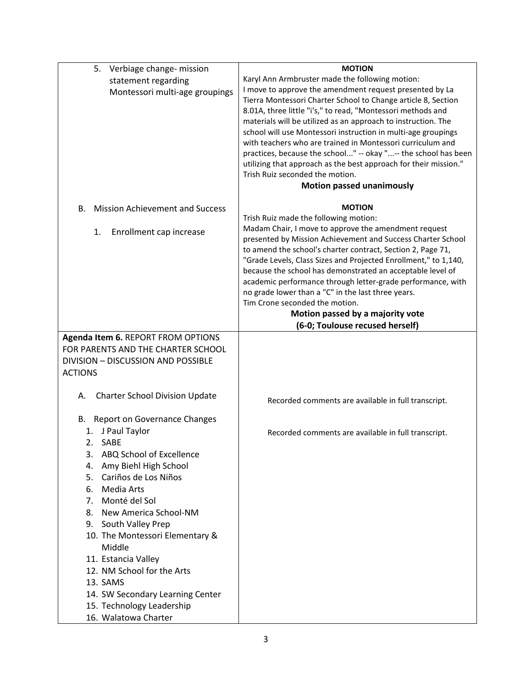| 5.<br>Verbiage change- mission               | <b>MOTION</b>                                                                                                             |
|----------------------------------------------|---------------------------------------------------------------------------------------------------------------------------|
| statement regarding                          | Karyl Ann Armbruster made the following motion:                                                                           |
| Montessori multi-age groupings               | I move to approve the amendment request presented by La                                                                   |
|                                              | Tierra Montessori Charter School to Change article 8, Section                                                             |
|                                              | 8.01A, three little "i's," to read, "Montessori methods and                                                               |
|                                              | materials will be utilized as an approach to instruction. The                                                             |
|                                              | school will use Montessori instruction in multi-age groupings                                                             |
|                                              | with teachers who are trained in Montessori curriculum and                                                                |
|                                              | practices, because the school" -- okay "-- the school has been                                                            |
|                                              | utilizing that approach as the best approach for their mission."<br>Trish Ruiz seconded the motion.                       |
|                                              | <b>Motion passed unanimously</b>                                                                                          |
|                                              |                                                                                                                           |
| <b>Mission Achievement and Success</b><br>В. | <b>MOTION</b>                                                                                                             |
|                                              | Trish Ruiz made the following motion:                                                                                     |
| 1.<br>Enrollment cap increase                | Madam Chair, I move to approve the amendment request                                                                      |
|                                              | presented by Mission Achievement and Success Charter School                                                               |
|                                              | to amend the school's charter contract, Section 2, Page 71,                                                               |
|                                              | "Grade Levels, Class Sizes and Projected Enrollment," to 1,140,                                                           |
|                                              | because the school has demonstrated an acceptable level of<br>academic performance through letter-grade performance, with |
|                                              | no grade lower than a "C" in the last three years.                                                                        |
|                                              | Tim Crone seconded the motion.                                                                                            |
|                                              | Motion passed by a majority vote                                                                                          |
|                                              | (6-0; Toulouse recused herself)                                                                                           |
| Agenda Item 6. REPORT FROM OPTIONS           |                                                                                                                           |
| FOR PARENTS AND THE CHARTER SCHOOL           |                                                                                                                           |
| DIVISION - DISCUSSION AND POSSIBLE           |                                                                                                                           |
| <b>ACTIONS</b>                               |                                                                                                                           |
|                                              |                                                                                                                           |
| <b>Charter School Division Update</b><br>А.  | Recorded comments are available in full transcript.                                                                       |
| Report on Governance Changes<br>В.           |                                                                                                                           |
| 1. J Paul Taylor                             | Recorded comments are available in full transcript.                                                                       |
| 2. SABE                                      |                                                                                                                           |
| ABQ School of Excellence<br>3.               |                                                                                                                           |
| Amy Biehl High School<br>4.                  |                                                                                                                           |
| Cariños de Los Niños<br>5.                   |                                                                                                                           |
| Media Arts<br>6.                             |                                                                                                                           |
| Monté del Sol<br>7.                          |                                                                                                                           |
| New America School-NM<br>8.                  |                                                                                                                           |
| 9. South Valley Prep                         |                                                                                                                           |
| 10. The Montessori Elementary &              |                                                                                                                           |
| Middle                                       |                                                                                                                           |
| 11. Estancia Valley                          |                                                                                                                           |
| 12. NM School for the Arts                   |                                                                                                                           |
| 13. SAMS                                     |                                                                                                                           |
| 14. SW Secondary Learning Center             |                                                                                                                           |
| 15. Technology Leadership                    |                                                                                                                           |
| 16. Walatowa Charter                         |                                                                                                                           |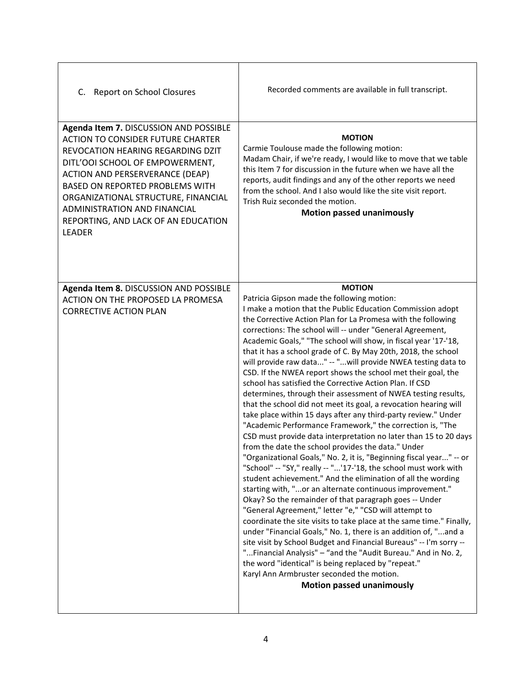| C. Report on School Closures                                                                                                                                                                                                                                                                                                                                           | Recorded comments are available in full transcript.                                                                                                                                                                                                                                                                                                                                                                                                                                                                                                                                                                                                                                                                                                                                                                                                                                                                                                                                                                                                                                                                                                                                                                                                                                                                                                                                                                                                                                                                                                                                                                                                                                                                                                                                                     |
|------------------------------------------------------------------------------------------------------------------------------------------------------------------------------------------------------------------------------------------------------------------------------------------------------------------------------------------------------------------------|---------------------------------------------------------------------------------------------------------------------------------------------------------------------------------------------------------------------------------------------------------------------------------------------------------------------------------------------------------------------------------------------------------------------------------------------------------------------------------------------------------------------------------------------------------------------------------------------------------------------------------------------------------------------------------------------------------------------------------------------------------------------------------------------------------------------------------------------------------------------------------------------------------------------------------------------------------------------------------------------------------------------------------------------------------------------------------------------------------------------------------------------------------------------------------------------------------------------------------------------------------------------------------------------------------------------------------------------------------------------------------------------------------------------------------------------------------------------------------------------------------------------------------------------------------------------------------------------------------------------------------------------------------------------------------------------------------------------------------------------------------------------------------------------------------|
| Agenda Item 7. DISCUSSION AND POSSIBLE<br><b>ACTION TO CONSIDER FUTURE CHARTER</b><br>REVOCATION HEARING REGARDING DZIT<br>DITL'OOI SCHOOL OF EMPOWERMENT,<br><b>ACTION AND PERSERVERANCE (DEAP)</b><br>BASED ON REPORTED PROBLEMS WITH<br>ORGANIZATIONAL STRUCTURE, FINANCIAL<br>ADMINISTRATION AND FINANCIAL<br>REPORTING, AND LACK OF AN EDUCATION<br><b>LEADER</b> | <b>MOTION</b><br>Carmie Toulouse made the following motion:<br>Madam Chair, if we're ready, I would like to move that we table<br>this Item 7 for discussion in the future when we have all the<br>reports, audit findings and any of the other reports we need<br>from the school. And I also would like the site visit report.<br>Trish Ruiz seconded the motion.<br><b>Motion passed unanimously</b>                                                                                                                                                                                                                                                                                                                                                                                                                                                                                                                                                                                                                                                                                                                                                                                                                                                                                                                                                                                                                                                                                                                                                                                                                                                                                                                                                                                                 |
| Agenda Item 8. DISCUSSION AND POSSIBLE<br><b>ACTION ON THE PROPOSED LA PROMESA</b><br><b>CORRECTIVE ACTION PLAN</b>                                                                                                                                                                                                                                                    | <b>MOTION</b><br>Patricia Gipson made the following motion:<br>I make a motion that the Public Education Commission adopt<br>the Corrective Action Plan for La Promesa with the following<br>corrections: The school will -- under "General Agreement,<br>Academic Goals," "The school will show, in fiscal year '17-'18,<br>that it has a school grade of C. By May 20th, 2018, the school<br>will provide raw data" -- "will provide NWEA testing data to<br>CSD. If the NWEA report shows the school met their goal, the<br>school has satisfied the Corrective Action Plan. If CSD<br>determines, through their assessment of NWEA testing results,<br>that the school did not meet its goal, a revocation hearing will<br>take place within 15 days after any third-party review." Under<br>"Academic Performance Framework," the correction is, "The<br>CSD must provide data interpretation no later than 15 to 20 days<br>from the date the school provides the data." Under<br>"Organizational Goals," No. 2, it is, "Beginning fiscal year" -- or<br>"School" -- "SY," really -- "'17-'18, the school must work with<br>student achievement." And the elimination of all the wording<br>starting with, "or an alternate continuous improvement."<br>Okay? So the remainder of that paragraph goes -- Under<br>"General Agreement," letter "e," "CSD will attempt to<br>coordinate the site visits to take place at the same time." Finally,<br>under "Financial Goals," No. 1, there is an addition of, "and a<br>site visit by School Budget and Financial Bureaus" -- I'm sorry --<br>"Financial Analysis" - "and the "Audit Bureau." And in No. 2,<br>the word "identical" is being replaced by "repeat."<br>Karyl Ann Armbruster seconded the motion.<br><b>Motion passed unanimously</b> |